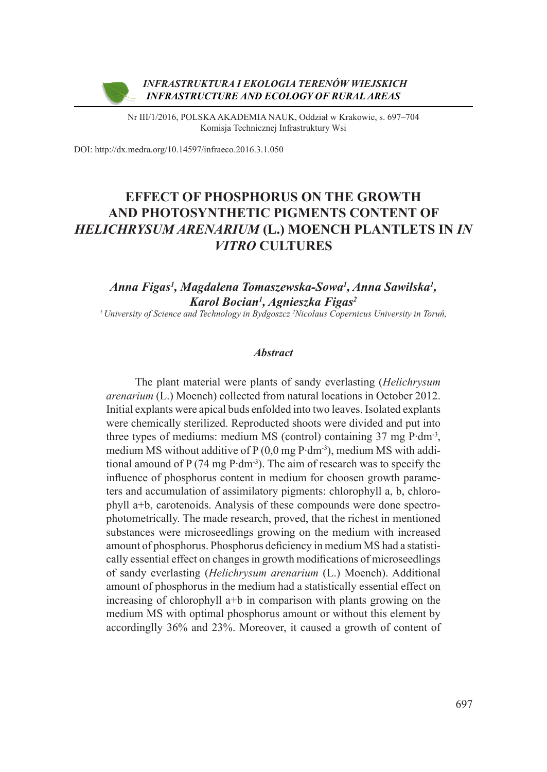

Nr III/1/2016, POLSKA AKADEMIA NAUK, Oddział w Krakowie, s. 697–704 Komisja Technicznej Infrastruktury Wsi

DOI: http://dx.medra.org/10.14597/infraeco.2016.3.1.050

# **EFFECT OF PHOSPHORUS ON THE GROWTH AND PHOTOSYNTHETIC PIGMENTS CONTENT OF**  *HELICHRYSUM ARENARIUM* **(L.) MOENCH PLANTLETS IN** *IN VITRO* **CULTURES**

# *Anna Figas1 , Magdalena Tomaszewska-Sowa1 , Anna Sawilska1 , Karol Bocian1 , Agnieszka Figas2*

*1 University of Science and Technology in Bydgoszcz 2 Nicolaus Copernicus University in Toruń,*

#### *Abstract*

The plant material were plants of sandy everlasting (*Helichrysum arenarium* (L.) Moench) collected from natural locations in October 2012. Initial explants were apical buds enfolded into two leaves. Isolated explants were chemically sterilized. Reproducted shoots were divided and put into three types of mediums: medium MS (control) containing 37 mg P∙dm-3, medium MS without additive of P (0,0 mg P∙dm-3), medium MS with additional amound of P (74 mg P∙dm-3). The aim of research was to specify the influence of phosphorus content in medium for choosen growth parameters and accumulation of assimilatory pigments: chlorophyll a, b, chlorophyll a+b, carotenoids. Analysis of these compounds were done spectrophotometrically. The made research, proved, that the richest in mentioned substances were microseedlings growing on the medium with increased amount of phosphorus. Phosphorus deficiency in medium MS had a statistically essential effect on changes in growth modifications of microseedlings of sandy everlasting (*Helichrysum arenarium* (L.) Moench). Additional amount of phosphorus in the medium had a statistically essential effect on increasing of chlorophyll a+b in comparison with plants growing on the medium MS with optimal phosphorus amount or without this element by accordinglly 36% and 23%. Moreover, it caused a growth of content of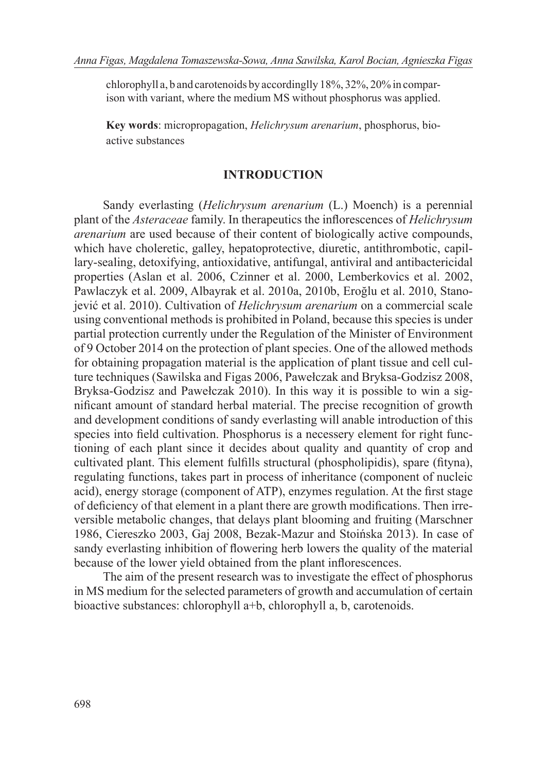chlorophyll a, b and carotenoids by accordinglly 18%, 32%, 20% in comparison with variant, where the medium MS without phosphorus was applied.

**Key words**: micropropagation, *Helichrysum arenarium*, phosphorus, bioactive substances

#### **INTRODUCTION**

Sandy everlasting (*Helichrysum arenarium* (L.) Moench) is a perennial plant of the *Asteraceae* family. In therapeutics the inflorescences of *Helichrysum arenarium* are used because of their content of biologically active compounds, which have choleretic, galley, hepatoprotective, diuretic, antithrombotic, capillary-sealing, detoxifying, antioxidative, antifungal, antiviral and antibactericidal properties (Aslan et al. 2006, Czinner et al. 2000, Lemberkovics et al. 2002, Pawlaczyk et al. 2009, Albayrak et al. 2010a, 2010b, Eroğlu et al. 2010, Stanojević et al. 2010). Cultivation of *Helichrysum arenarium* on a commercial scale using conventional methods is prohibited in Poland, because this species is under partial protection currently under the Regulation of the Minister of Environment of 9 October 2014 on the protection of plant species. One of the allowed methods for obtaining propagation material is the application of plant tissue and cell culture techniques (Sawilska and Figas 2006, Pawełczak and Bryksa-Godzisz 2008, Bryksa-Godzisz and Pawełczak 2010). In this way it is possible to win a significant amount of standard herbal material. The precise recognition of growth and development conditions of sandy everlasting will anable introduction of this species into field cultivation. Phosphorus is a necessery element for right functioning of each plant since it decides about quality and quantity of crop and cultivated plant. This element fulfills structural (phospholipidis), spare (fityna), regulating functions, takes part in process of inheritance (component of nucleic acid), energy storage (component of ATP), enzymes regulation. At the first stage of deficiency of that element in a plant there are growth modifications. Then irreversible metabolic changes, that delays plant blooming and fruiting (Marschner 1986, Ciereszko 2003, Gaj 2008, Bezak-Mazur and Stoińska 2013). In case of sandy everlasting inhibition of flowering herb lowers the quality of the material because of the lower yield obtained from the plant inflorescences.

The aim of the present research was to investigate the effect of phosphorus in MS medium for the selected parameters of growth and accumulation of certain bioactive substances: chlorophyll a+b, chlorophyll a, b, carotenoids.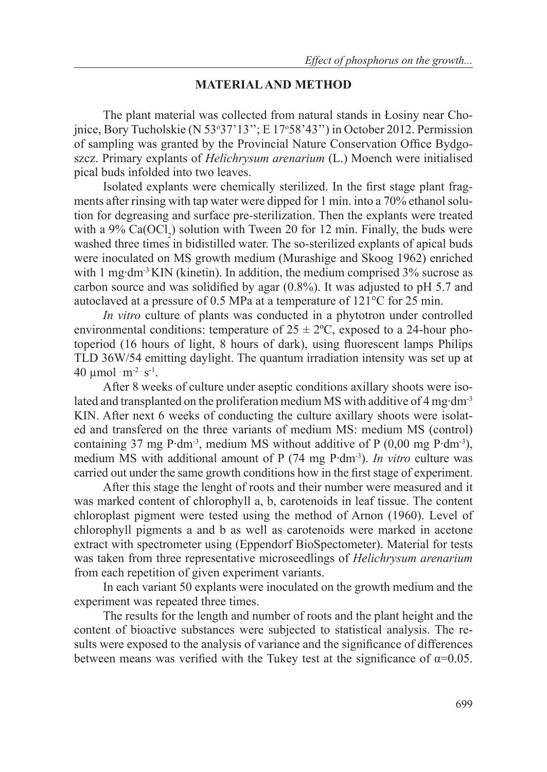### **MATERIAL AND METHOD**

The plant material was collected from natural stands in Łosiny near Chojnice, Bory Tucholskie (N 53°37' 13"; E 17°58' 43") in October 2012. Permission of sampling was granted by the Provincial Nature Conservation Office Bydgoszcz. Primary explants of *Helichrysum arenarium* (L.) Moench were initialised pical buds infolded into two leaves.

Isolated explants were chemically sterilized. In the first stage plant fragments after rinsing with tap water were dipped for 1 min. into a 70% ethanol solution for degreasing and surface pre-sterilization. Then the explants were treated with a 9%  $Ca(OCl<sub>2</sub>)$  solution with Tween 20 for 12 min. Finally, the buds were washed three times in bidistilled water. The so-sterilized explants of apical buds were inoculated on MS growth medium (Murashige and Skoog 1962) enriched with 1 mg⋅dm<sup>-3</sup> KIN (kinetin). In addition, the medium comprised 3% sucrose as carbon source and was solidified by agar (0.8%). It was adjusted to pH 5.7 and autoclaved at a pressure of 0.5 MPa at a temperature of 121°C for 25 min.

*In vitro* culture of plants was conducted in a phytotron under controlled environmental conditions: temperature of  $25 \pm 2$ °C, exposed to a 24-hour photoperiod (16 hours of light, 8 hours of dark), using fluorescent lamps Philips TLD 36W/54 emitting daylight. The quantum irradiation intensity was set up at 40  $\mu$ mol  $\cdot$  m<sup>-2</sup>  $\cdot$  s<sup>-1</sup>.

After 8 weeks of culture under aseptic conditions axillary shoots were isolated and transplanted on the proliferation medium MS with additive of 4 mg∙dm-3 KIN. After next 6 weeks of conducting the culture axillary shoots were isolated and transfered on the three variants of medium MS: medium MS (control) containing 37 mg P∙dm-3, medium MS without additive of P (0,00 mg P∙dm-3), medium MS with additional amount of P (74 mg P∙dm-3). *In vitro* culture was carried out under the same growth conditions how in the first stage of experiment.

After this stage the lenght of roots and their number were measured and it was marked content of chlorophyll a, b, carotenoids in leaf tissue. The content chloroplast pigment were tested using the method of Arnon (1960). Level of chlorophyll pigments a and b as well as carotenoids were marked in acetone extract with spectrometer using (Eppendorf BioSpectometer). Material for tests was taken from three representative microseedlings of *Helichrysum arenarium* from each repetition of given experiment variants.

In each variant 50 explants were inoculated on the growth medium and the experiment was repeated three times.

The results for the length and number of roots and the plant height and the content of bioactive substances were subjected to statistical analysis. The results were exposed to the analysis of variance and the significance of differences between means was verified with the Tukey test at the significance of  $\alpha$ =0.05.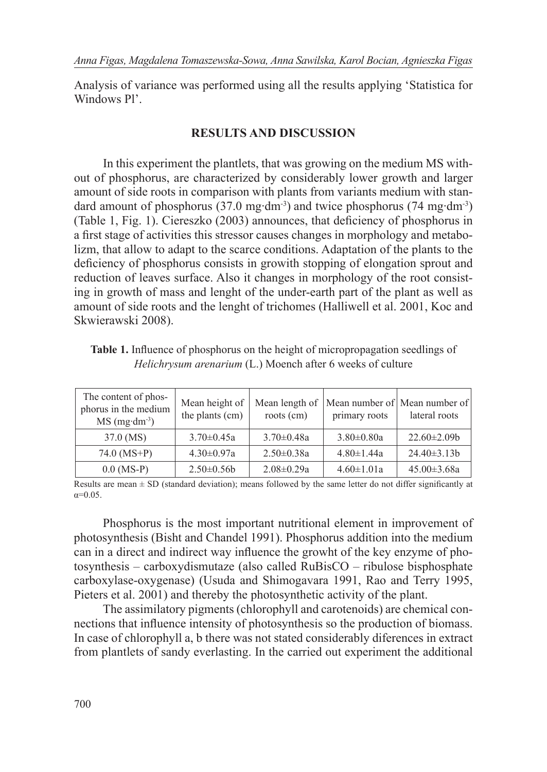Analysis of variance was performed using all the results applying 'Statistica for Windows Pl'.

## **RESULTS AND DISCUSSION**

In this experiment the plantlets, that was growing on the medium MS without of phosphorus, are characterized by considerably lower growth and larger amount of side roots in comparison with plants from variants medium with standard amount of phosphorus (37.0 mg∙dm-3) and twice phosphorus (74 mg∙dm-3) (Table 1, Fig. 1). Ciereszko (2003) announces, that deficiency of phosphorus in a first stage of activities this stressor causes changes in morphology and metabolizm, that allow to adapt to the scarce conditions. Adaptation of the plants to the deficiency of phosphorus consists in growith stopping of elongation sprout and reduction of leaves surface. Also it changes in morphology of the root consisting in growth of mass and lenght of the under-earth part of the plant as well as amount of side roots and the lenght of trichomes (Halliwell et al. 2001, Koc and Skwierawski 2008).

**Table 1.** Influence of phosphorus on the height of micropropagation seedlings of *Helichrysum arenarium* (L.) Moench after 6 weeks of culture

| The content of phos-<br>phorus in the medium<br>$MS$ (mg·dm <sup>-3</sup> ) | Mean height of<br>the plants (cm) | Mean length of<br>roots (cm) | primary roots    | Mean number of Mean number of<br>lateral roots |
|-----------------------------------------------------------------------------|-----------------------------------|------------------------------|------------------|------------------------------------------------|
| 37.0 (MS)                                                                   | $3.70 \pm 0.45a$                  | $3.70 \pm 0.48a$             | $3.80 \pm 0.80a$ | $22.60 \pm 2.09$                               |
| $74.0 (MS+P)$                                                               | $4.30 \pm 0.97a$                  | $2.50 \pm 0.38a$             | $4.80 \pm 1.44a$ | $24.40 \pm 3.13b$                              |
| $0.0$ (MS-P)                                                                | $2.50\pm0.56b$                    | $2.08 \pm 0.29a$             | $4.60 \pm 1.01a$ | $45.00 \pm 3.68a$                              |

Results are mean  $\pm$  SD (standard deviation); means followed by the same letter do not differ significantly at  $\alpha = 0.05$ 

Phosphorus is the most important nutritional element in improvement of photosynthesis (Bisht and Chandel 1991). Phosphorus addition into the medium can in a direct and indirect way influence the growht of the key enzyme of photosynthesis – carboxydismutaze (also called RuBisCO – ribulose bisphosphate carboxylase-oxygenase) (Usuda and Shimogavara 1991, Rao and Terry 1995, Pieters et al. 2001) and thereby the photosynthetic activity of the plant.

The assimilatory pigments (chlorophyll and carotenoids) are chemical connections that influence intensity of photosynthesis so the production of biomass. In case of chlorophyll a, b there was not stated considerably diferences in extract from plantlets of sandy everlasting. In the carried out experiment the additional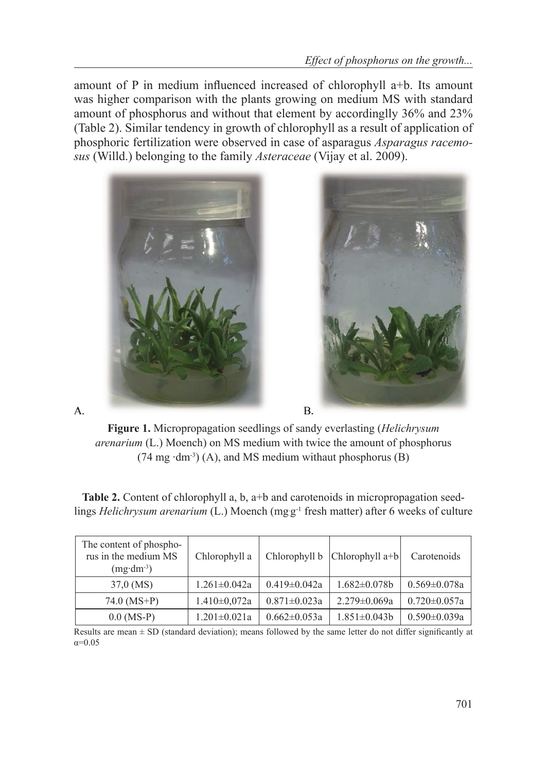amount of P in medium influenced increased of chlorophyll a+b. Its amount was higher comparison with the plants growing on medium MS with standard amount of phosphorus and without that element by accordinglly 36% and 23% (Table 2). Similar tendency in growth of chlorophyll as a result of application of phosphoric fertilization were observed in case of asparagus *Asparagus racemosus* (Willd.) belonging to the family *Asteraceae* (Vijay et al. 2009).



**Figure 1.** Micropropagation seedlings of sandy everlasting (*Helichrysum arenarium* (L.) Moench) on MS medium with twice the amount of phosphorus (74 mg ∙dm-3) (A), and MS medium withaut phosphorus (B)

A.

**Table 2.** Content of chlorophyll a, b, a+b and carotenoids in micropropagation seedlings *Helichrysum arenarium* (L.) Moench (mgg<sup>-1</sup> fresh matter) after 6 weeks of culture

| The content of phospho-<br>rus in the medium MS<br>$(mg\cdot dm^{-3})$ | Chlorophyll a      |                    | Chlorophyll b   Chlorophyll a+b | Carotenoids        |
|------------------------------------------------------------------------|--------------------|--------------------|---------------------------------|--------------------|
| 37,0 (MS)                                                              | $1.261 \pm 0.042a$ | $0.419 \pm 0.042a$ | $1.682 \pm 0.078b$              | $0.569 \pm 0.078a$ |
| 74.0 (MS+P)                                                            | $1.410 \pm 0.072a$ | $0.871 \pm 0.023a$ | $2.279 \pm 0.069a$              | $0.720 \pm 0.057a$ |
| $0.0$ (MS-P)                                                           | $1.201 \pm 0.021a$ | $0.662 \pm 0.053a$ | $1.851 \pm 0.043b$              | $0.590 \pm 0.039a$ |

Results are mean  $\pm$  SD (standard deviation); means followed by the same letter do not differ significantly at  $α=0.05$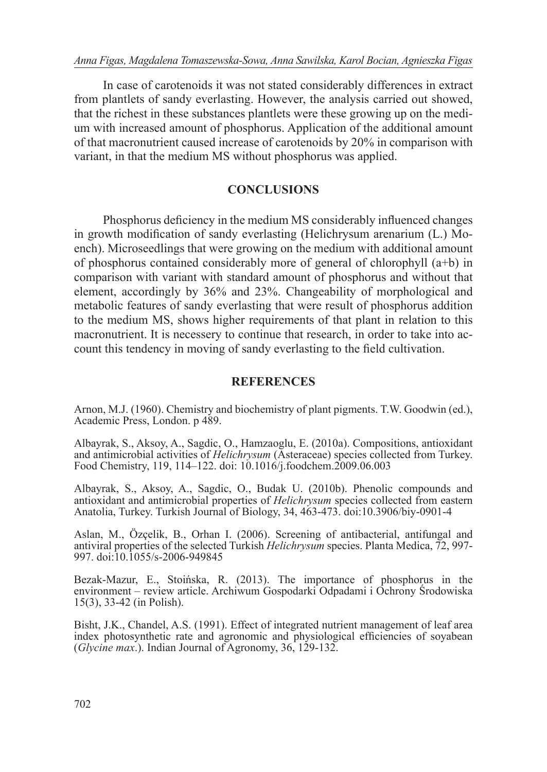In case of carotenoids it was not stated considerably differences in extract from plantlets of sandy everlasting. However, the analysis carried out showed, that the richest in these substances plantlets were these growing up on the medium with increased amount of phosphorus. Application of the additional amount of that macronutrient caused increase of carotenoids by 20% in comparison with variant, in that the medium MS without phosphorus was applied.

# **CONCLUSIONS**

Phosphorus deficiency in the medium MS considerably influenced changes in growth modification of sandy everlasting (Helichrysum arenarium (L.) Moench). Microseedlings that were growing on the medium with additional amount of phosphorus contained considerably more of general of chlorophyll (a+b) in comparison with variant with standard amount of phosphorus and without that element, accordingly by 36% and 23%. Changeability of morphological and metabolic features of sandy everlasting that were result of phosphorus addition to the medium MS, shows higher requirements of that plant in relation to this macronutrient. It is necessery to continue that research, in order to take into account this tendency in moving of sandy everlasting to the field cultivation.

# **REFERENCES**

Arnon, M.J. (1960). Chemistry and biochemistry of plant pigments. T.W. Goodwin (ed.), Academic Press, London. p 489.

Albayrak, S., Aksoy, A., Sagdic, O., Hamzaoglu, E. (2010a). Compositions, antioxidant and antimicrobial activities of *Helichrysum* (Asteraceae) species collected from Turkey. Food Chemistry, 119, 114–122. doi: 10.1016/j.foodchem.2009.06.003

Albayrak, S., Aksoy, A., Sagdic, O., Budak U. (2010b). Phenolic compounds and antioxidant and antimicrobial properties of *Helichrysum* species collected from eastern Anatolia, Turkey. Turkish Journal of Biology, 34, 463-473. doi:10.3906/biy-0901-4

Aslan, M., Özçelik, B., Orhan I. (2006). Screening of antibacterial, antifungal and antiviral properties of the selected Turkish *Helichrysum* species. Planta Medica, 72, 997- 997. doi:10.1055/s-2006-949845

Bezak-Mazur, E., Stoińska, R. (2013). The importance of phosphorus in the environment – review article. Archiwum Gospodarki Odpadami i Ochrony Środowiska 15(3), 33-42 (in Polish).

Bisht, J.K., Chandel, A.S. (1991). Effect of integrated nutrient management of leaf area index photosynthetic rate and agronomic and physiological efficiencies of soyabean (*Glycine max*.). Indian Journal of Agronomy, 36, 129-132.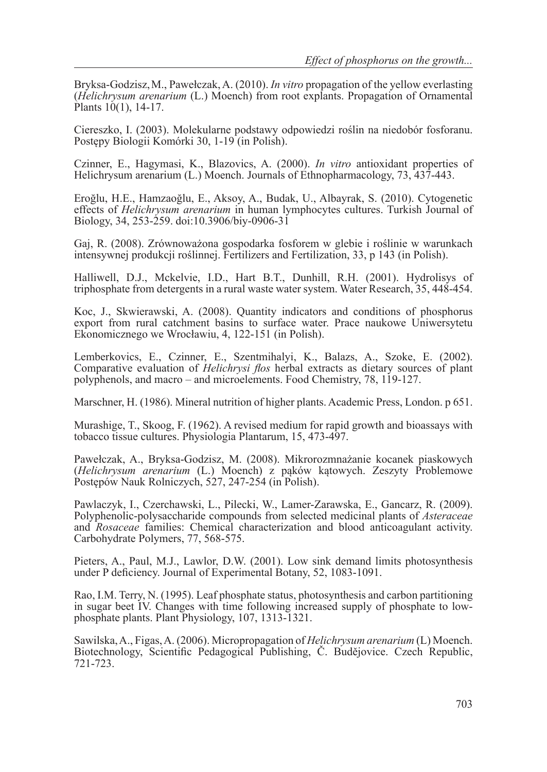Bryksa-Godzisz,M., Pawełczak, A. (2010). *In vitro* propagation of the yellow everlasting (*Helichrysum arenarium* (L.) Moench) from root explants. Propagation of Ornamental Plants 10(1), 14-17.

Ciereszko, I. (2003). Molekularne podstawy odpowiedzi roślin na niedobór fosforanu. Postępy Biologii Komórki 30, 1-19 (in Polish).

Czinner, E., Hagymasi, K., Blazovics, A. (2000). *In vitro* antioxidant properties of Helichrysum arenarium (L.) Moench. Journals of Ethnopharmacology, 73, 437-443.

Eroğlu, H.E., Hamzaoğlu, E., Aksoy, A., Budak, U., Albayrak, S. (2010). Cytogenetic effects of *Helichrysum arenarium* in human lymphocytes cultures. Turkish Journal of Biology, 34, 253-259. doi:10.3906/biy-0906-31

Gaj, R. (2008). Zrównoważona gospodarka fosforem w glebie i roślinie w warunkach intensywnej produkcji roślinnej. Fertilizers and Fertilization, 33, p 143 (in Polish).

Halliwell, D.J., Mckelvie, I.D., Hart B.T., Dunhill, R.H. (2001). Hydrolisys of triphosphate from detergents in a rural waste water system. Water Research, 35, 448-454.

Koc, J., Skwierawski, A. (2008). Quantity indicators and conditions of phosphorus export from rural catchment basins to surface water. Prace naukowe Uniwersytetu Ekonomicznego we Wrocławiu, 4, 122-151 (in Polish).

Lemberkovics, E., Czinner, E., Szentmihalyi, K., Balazs, A., Szoke, E. (2002). Comparative evaluation of *Helichrysi flos* herbal extracts as dietary sources of plant polyphenols, and macro – and microelements. Food Chemistry, 78, 119-127.

Marschner, H. (1986). Mineral nutrition of higher plants. Academic Press, London. p 651.

Murashige, T., Skoog, F. (1962). A revised medium for rapid growth and bioassays with tobacco tissue cultures. Physiologia Plantarum, 15, 473-497.

Pawełczak, A., Bryksa-Godzisz, M. (2008). Mikrorozmnażanie kocanek piaskowych (*Helichrysum arenarium* (L.) Moench) z pąków kątowych. Zeszyty Problemowe Postępów Nauk Rolniczych, 527, 247-254 (in Polish).

Pawlaczyk, I., Czerchawski, L., Pilecki, W., Lamer-Zarawska, E., Gancarz, R. (2009). Polyphenolic-polysaccharide compounds from selected medicinal plants of *Asteraceae* and *Rosaceae* families: Chemical characterization and blood anticoagulant activity. Carbohydrate Polymers, 77, 568-575.

Pieters, A., Paul, M.J., Lawlor, D.W. (2001). Low sink demand limits photosynthesis under P deficiency. Journal of Experimental Botany, 52, 1083-1091.

Rao, I.M. Terry, N. (1995). Leaf phosphate status, photosynthesis and carbon partitioning in sugar beet IV. Changes with time following increased supply of phosphate to lowphosphate plants. Plant Physiology, 107, 1313-1321.

Sawilska, A., Figas, A. (2006). Micropropagation of *Helichrysum arenarium* (L) Moench. Biotechnology, Scientific Pedagogical Publishing, Č. Budějovice. Czech Republic, 721-723.